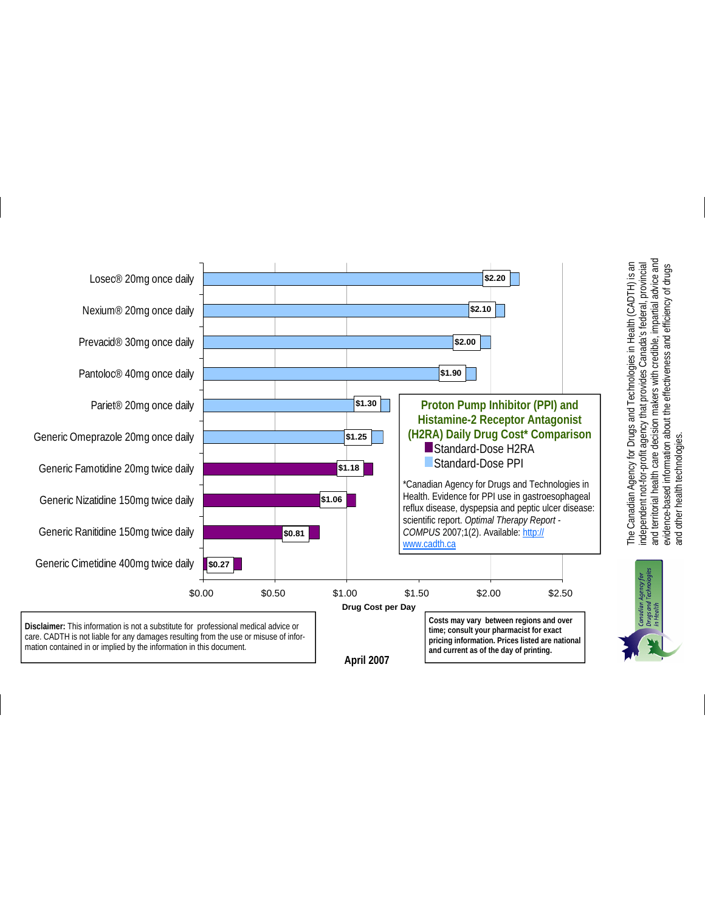

and territorial health care decision makers with credible, impartial advice and and territorial health care decision makers with credible, impartial advice and<br>evidence-based information about the effectiveness and efficiency of drugs The Canadian Agency for Drugs and Technologies in Health (CADTH) is an<br>independent not-for-profit agency that provides Canada's federal, provincial independent not-for-profit agency that provides Canada's federal, provincial evidence-based information about the effectiveness and efficiency of drugs and other health technologies. and other health technologies.